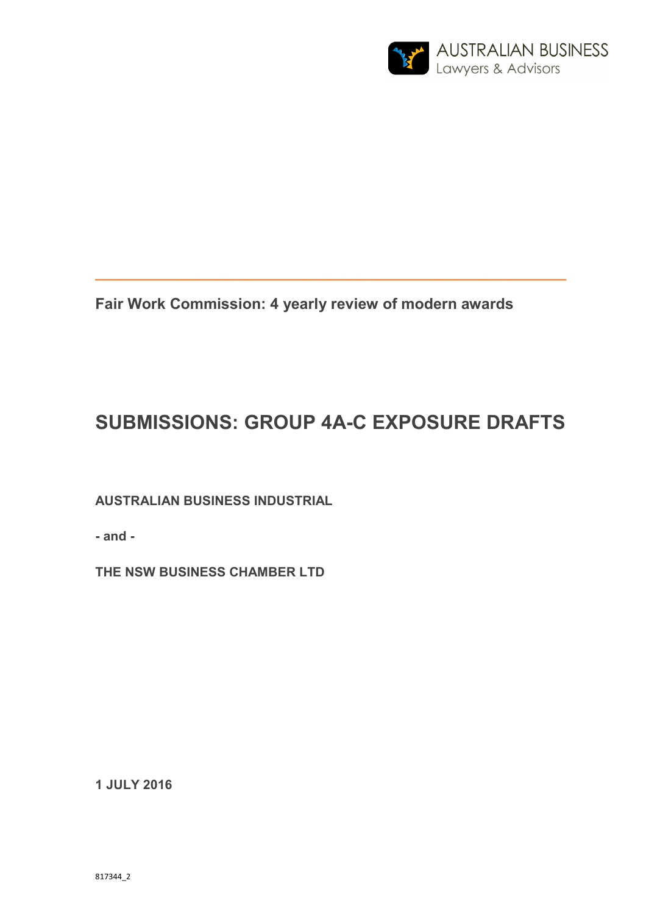

**Fair Work Commission: 4 yearly review of modern awards** 

# **SUBMISSIONS: GROUP 4A-C EXPOSURE DRAFTS**

**\_\_\_\_\_\_\_\_\_\_\_\_\_\_\_\_\_\_\_\_\_\_\_\_\_\_\_\_\_\_\_\_\_\_\_\_\_\_\_\_\_\_\_\_\_\_\_\_\_\_\_\_\_\_\_\_\_\_\_\_\_\_\_\_\_** 

**AUSTRALIAN BUSINESS INDUSTRIAL** 

**- and -** 

**THE NSW BUSINESS CHAMBER LTD** 

**1 JULY 2016**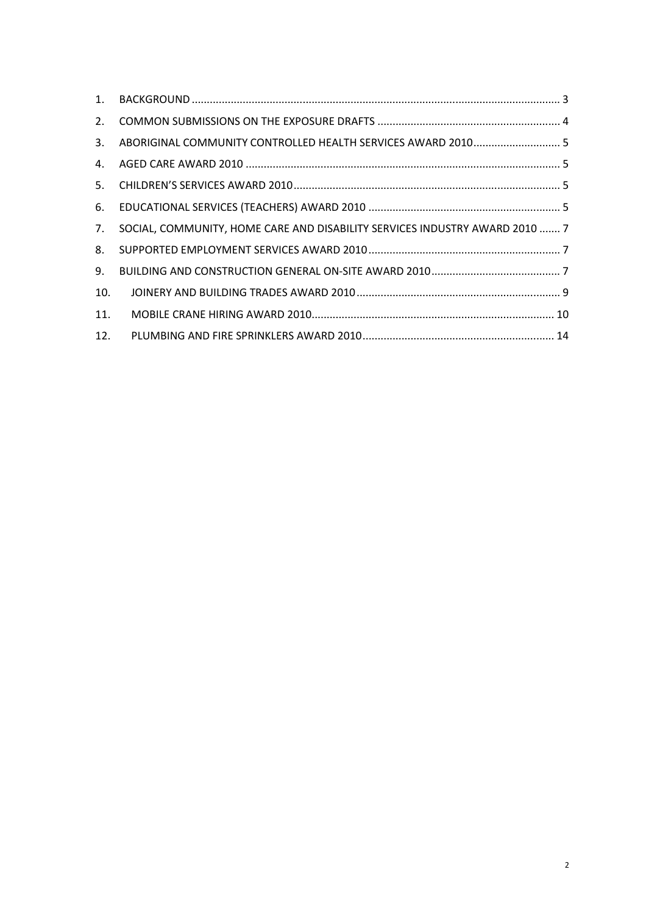| $1_{\cdot}$ |                                                                             |  |
|-------------|-----------------------------------------------------------------------------|--|
| 2.          |                                                                             |  |
| 3.          |                                                                             |  |
| 4.          |                                                                             |  |
| 5.          |                                                                             |  |
| 6.          |                                                                             |  |
| 7.          | SOCIAL, COMMUNITY, HOME CARE AND DISABILITY SERVICES INDUSTRY AWARD 2010  7 |  |
| 8.          |                                                                             |  |
| 9.          |                                                                             |  |
| 10.         |                                                                             |  |
| 11.         |                                                                             |  |
| 12.         |                                                                             |  |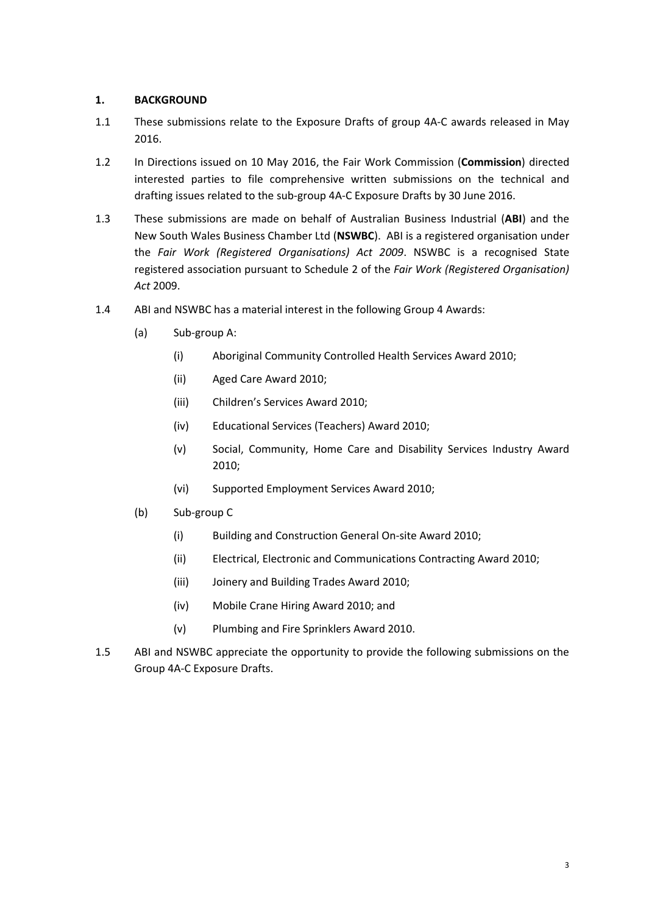#### **1. BACKGROUND**

- 1.1 These submissions relate to the Exposure Drafts of group 4A-C awards released in May 2016.
- 1.2 In Directions issued on 10 May 2016, the Fair Work Commission (**Commission**) directed interested parties to file comprehensive written submissions on the technical and drafting issues related to the sub-group 4A-C Exposure Drafts by 30 June 2016.
- 1.3 These submissions are made on behalf of Australian Business Industrial (**ABI**) and the New South Wales Business Chamber Ltd (**NSWBC**). ABI is a registered organisation under the *Fair Work (Registered Organisations) Act 2009*. NSWBC is a recognised State registered association pursuant to Schedule 2 of the *Fair Work (Registered Organisation) Act* 2009.
- 1.4 ABI and NSWBC has a material interest in the following Group 4 Awards:
	- (a) Sub-group A:
		- (i) Aboriginal Community Controlled Health Services Award 2010;
		- (ii) Aged Care Award 2010;
		- (iii) Children's Services Award 2010;
		- (iv) Educational Services (Teachers) Award 2010;
		- (v) Social, Community, Home Care and Disability Services Industry Award 2010;
		- (vi) Supported Employment Services Award 2010;
	- (b) Sub-group C
		- (i) Building and Construction General On-site Award 2010;
		- (ii) Electrical, Electronic and Communications Contracting Award 2010;
		- (iii) Joinery and Building Trades Award 2010;
		- (iv) Mobile Crane Hiring Award 2010; and
		- (v) Plumbing and Fire Sprinklers Award 2010.
- 1.5 ABI and NSWBC appreciate the opportunity to provide the following submissions on the Group 4A-C Exposure Drafts.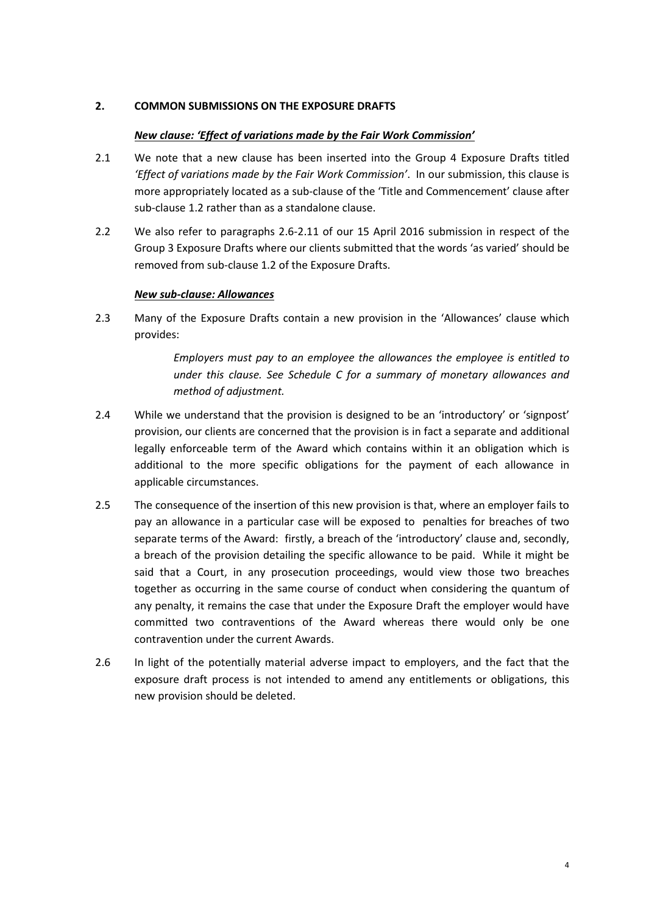#### **2. COMMON SUBMISSIONS ON THE EXPOSURE DRAFTS**

#### *New clause: 'Effect of variations made by the Fair Work Commission'*

- 2.1 We note that a new clause has been inserted into the Group 4 Exposure Drafts titled *'Effect of variations made by the Fair Work Commission'*. In our submission, this clause is more appropriately located as a sub-clause of the 'Title and Commencement' clause after sub-clause 1.2 rather than as a standalone clause.
- 2.2 We also refer to paragraphs 2.6-2.11 of our 15 April 2016 submission in respect of the Group 3 Exposure Drafts where our clients submitted that the words 'as varied' should be removed from sub-clause 1.2 of the Exposure Drafts.

#### *New sub-clause: Allowances*

2.3 Many of the Exposure Drafts contain a new provision in the 'Allowances' clause which provides:

> *Employers must pay to an employee the allowances the employee is entitled to under this clause. See Schedule C for a summary of monetary allowances and method of adjustment.*

- 2.4 While we understand that the provision is designed to be an 'introductory' or 'signpost' provision, our clients are concerned that the provision is in fact a separate and additional legally enforceable term of the Award which contains within it an obligation which is additional to the more specific obligations for the payment of each allowance in applicable circumstances.
- 2.5 The consequence of the insertion of this new provision is that, where an employer fails to pay an allowance in a particular case will be exposed to penalties for breaches of two separate terms of the Award: firstly, a breach of the 'introductory' clause and, secondly, a breach of the provision detailing the specific allowance to be paid. While it might be said that a Court, in any prosecution proceedings, would view those two breaches together as occurring in the same course of conduct when considering the quantum of any penalty, it remains the case that under the Exposure Draft the employer would have committed two contraventions of the Award whereas there would only be one contravention under the current Awards.
- 2.6 In light of the potentially material adverse impact to employers, and the fact that the exposure draft process is not intended to amend any entitlements or obligations, this new provision should be deleted.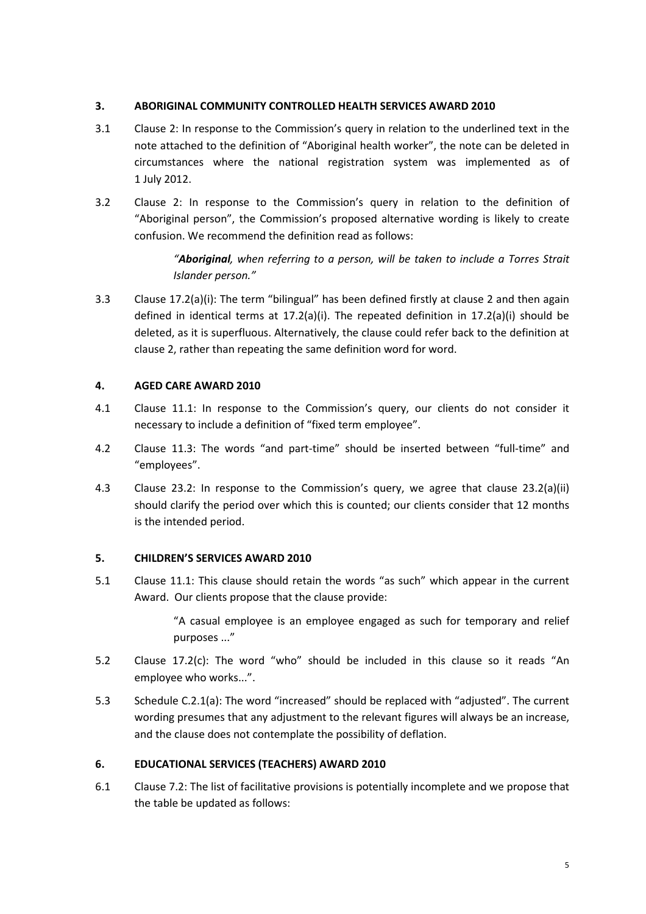#### **3. ABORIGINAL COMMUNITY CONTROLLED HEALTH SERVICES AWARD 2010**

- 3.1 Clause 2: In response to the Commission's query in relation to the underlined text in the note attached to the definition of "Aboriginal health worker", the note can be deleted in circumstances where the national registration system was implemented as of 1 July 2012.
- 3.2 Clause 2: In response to the Commission's query in relation to the definition of "Aboriginal person", the Commission's proposed alternative wording is likely to create confusion. We recommend the definition read as follows:

*"Aboriginal, when referring to a person, will be taken to include a Torres Strait Islander person."* 

3.3 Clause 17.2(a)(i): The term "bilingual" has been defined firstly at clause 2 and then again defined in identical terms at  $17.2(a)(i)$ . The repeated definition in  $17.2(a)(i)$  should be deleted, as it is superfluous. Alternatively, the clause could refer back to the definition at clause 2, rather than repeating the same definition word for word.

# **4. AGED CARE AWARD 2010**

- 4.1 Clause 11.1: In response to the Commission's query, our clients do not consider it necessary to include a definition of "fixed term employee".
- 4.2 Clause 11.3: The words "and part-time" should be inserted between "full-time" and "employees".
- 4.3 Clause 23.2: In response to the Commission's query, we agree that clause 23.2(a)(ii) should clarify the period over which this is counted; our clients consider that 12 months is the intended period.

# **5. CHILDREN'S SERVICES AWARD 2010**

5.1 Clause 11.1: This clause should retain the words "as such" which appear in the current Award. Our clients propose that the clause provide:

> "A casual employee is an employee engaged as such for temporary and relief purposes ..."

- 5.2 Clause 17.2(c): The word "who" should be included in this clause so it reads "An employee who works...".
- 5.3 Schedule C.2.1(a): The word "increased" should be replaced with "adjusted". The current wording presumes that any adjustment to the relevant figures will always be an increase, and the clause does not contemplate the possibility of deflation.

# **6. EDUCATIONAL SERVICES (TEACHERS) AWARD 2010**

6.1 Clause 7.2: The list of facilitative provisions is potentially incomplete and we propose that the table be updated as follows: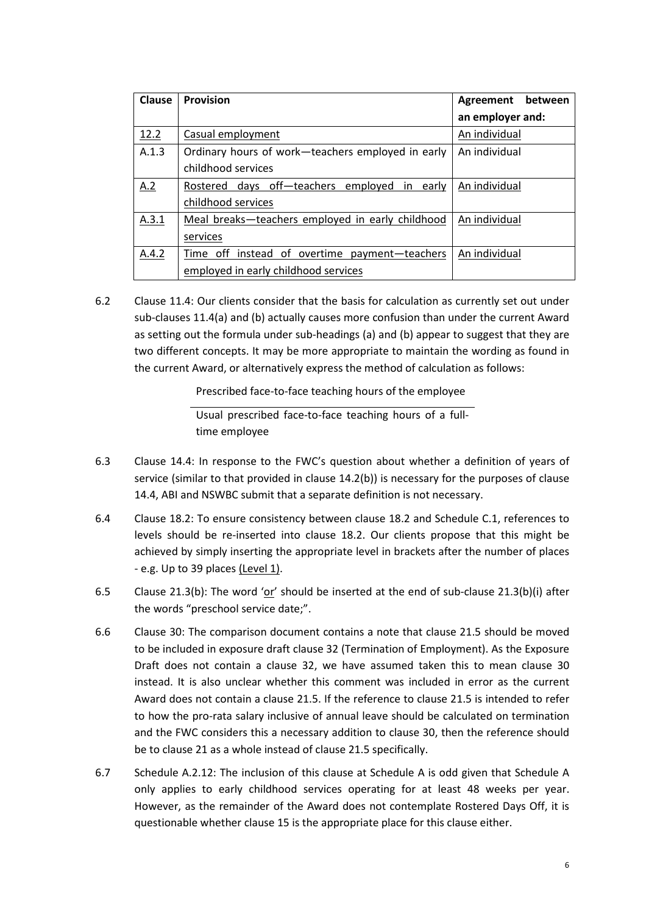| <b>Clause</b> | <b>Provision</b>                                    | between<br>Agreement |
|---------------|-----------------------------------------------------|----------------------|
|               |                                                     | an employer and:     |
| 12.2          | Casual employment                                   | An individual        |
| A.1.3         | Ordinary hours of work-teachers employed in early   | An individual        |
|               | childhood services                                  |                      |
| A.2           | Rostered days off-teachers employed<br>early<br>-in | An individual        |
|               | childhood services                                  |                      |
| A.3.1         | Meal breaks-teachers employed in early childhood    | An individual        |
|               | services                                            |                      |
| A.4.2         | Time off instead of overtime payment-teachers       | An individual        |
|               | employed in early childhood services                |                      |

6.2 Clause 11.4: Our clients consider that the basis for calculation as currently set out under sub-clauses 11.4(a) and (b) actually causes more confusion than under the current Award as setting out the formula under sub-headings (a) and (b) appear to suggest that they are two different concepts. It may be more appropriate to maintain the wording as found in the current Award, or alternatively express the method of calculation as follows:

Prescribed face-to-face teaching hours of the employee

Usual prescribed face-to-face teaching hours of a fulltime employee

- 6.3 Clause 14.4: In response to the FWC's question about whether a definition of years of service (similar to that provided in clause 14.2(b)) is necessary for the purposes of clause 14.4, ABI and NSWBC submit that a separate definition is not necessary.
- 6.4 Clause 18.2: To ensure consistency between clause 18.2 and Schedule C.1, references to levels should be re-inserted into clause 18.2. Our clients propose that this might be achieved by simply inserting the appropriate level in brackets after the number of places - e.g. Up to 39 places (Level 1).
- 6.5 Clause 21.3(b): The word 'or' should be inserted at the end of sub-clause 21.3(b)(i) after the words "preschool service date;".
- 6.6 Clause 30: The comparison document contains a note that clause 21.5 should be moved to be included in exposure draft clause 32 (Termination of Employment). As the Exposure Draft does not contain a clause 32, we have assumed taken this to mean clause 30 instead. It is also unclear whether this comment was included in error as the current Award does not contain a clause 21.5. If the reference to clause 21.5 is intended to refer to how the pro-rata salary inclusive of annual leave should be calculated on termination and the FWC considers this a necessary addition to clause 30, then the reference should be to clause 21 as a whole instead of clause 21.5 specifically.
- 6.7 Schedule A.2.12: The inclusion of this clause at Schedule A is odd given that Schedule A only applies to early childhood services operating for at least 48 weeks per year. However, as the remainder of the Award does not contemplate Rostered Days Off, it is questionable whether clause 15 is the appropriate place for this clause either.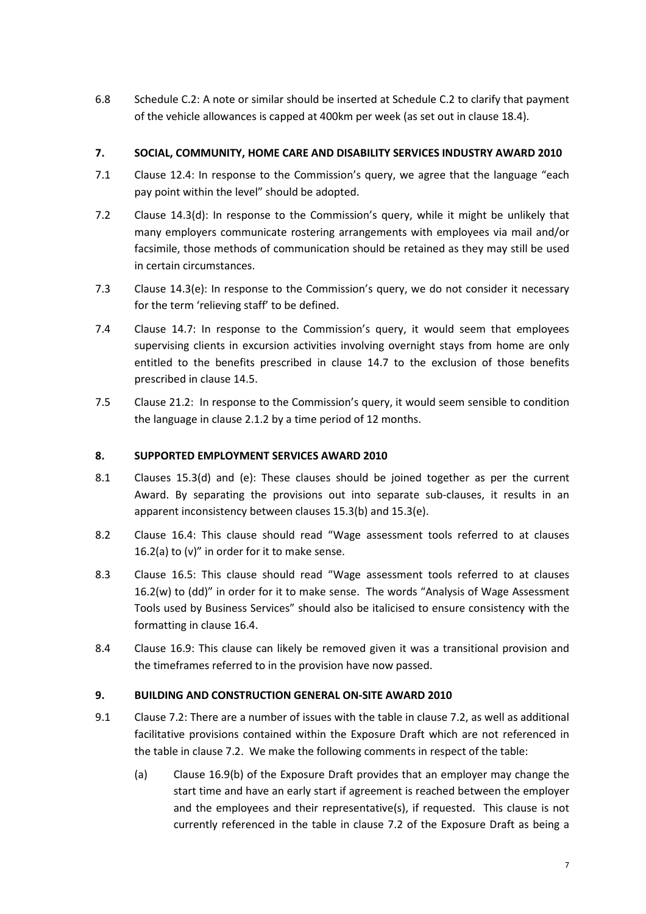6.8 Schedule C.2: A note or similar should be inserted at Schedule C.2 to clarify that payment of the vehicle allowances is capped at 400km per week (as set out in clause 18.4).

# **7. SOCIAL, COMMUNITY, HOME CARE AND DISABILITY SERVICES INDUSTRY AWARD 2010**

- 7.1 Clause 12.4: In response to the Commission's query, we agree that the language "each pay point within the level" should be adopted.
- 7.2 Clause 14.3(d): In response to the Commission's query, while it might be unlikely that many employers communicate rostering arrangements with employees via mail and/or facsimile, those methods of communication should be retained as they may still be used in certain circumstances.
- 7.3 Clause 14.3(e): In response to the Commission's query, we do not consider it necessary for the term 'relieving staff' to be defined.
- 7.4 Clause 14.7: In response to the Commission's query, it would seem that employees supervising clients in excursion activities involving overnight stays from home are only entitled to the benefits prescribed in clause 14.7 to the exclusion of those benefits prescribed in clause 14.5.
- 7.5 Clause 21.2: In response to the Commission's query, it would seem sensible to condition the language in clause 2.1.2 by a time period of 12 months.

# **8. SUPPORTED EMPLOYMENT SERVICES AWARD 2010**

- 8.1 Clauses 15.3(d) and (e): These clauses should be joined together as per the current Award. By separating the provisions out into separate sub-clauses, it results in an apparent inconsistency between clauses 15.3(b) and 15.3(e).
- 8.2 Clause 16.4: This clause should read "Wage assessment tools referred to at clauses 16.2(a) to  $(v)$ " in order for it to make sense.
- 8.3 Clause 16.5: This clause should read "Wage assessment tools referred to at clauses 16.2(w) to (dd)" in order for it to make sense. The words "Analysis of Wage Assessment Tools used by Business Services" should also be italicised to ensure consistency with the formatting in clause 16.4.
- 8.4 Clause 16.9: This clause can likely be removed given it was a transitional provision and the timeframes referred to in the provision have now passed.

# **9. BUILDING AND CONSTRUCTION GENERAL ON-SITE AWARD 2010**

- 9.1 Clause 7.2: There are a number of issues with the table in clause 7.2, as well as additional facilitative provisions contained within the Exposure Draft which are not referenced in the table in clause 7.2. We make the following comments in respect of the table:
	- (a) Clause 16.9(b) of the Exposure Draft provides that an employer may change the start time and have an early start if agreement is reached between the employer and the employees and their representative(s), if requested. This clause is not currently referenced in the table in clause 7.2 of the Exposure Draft as being a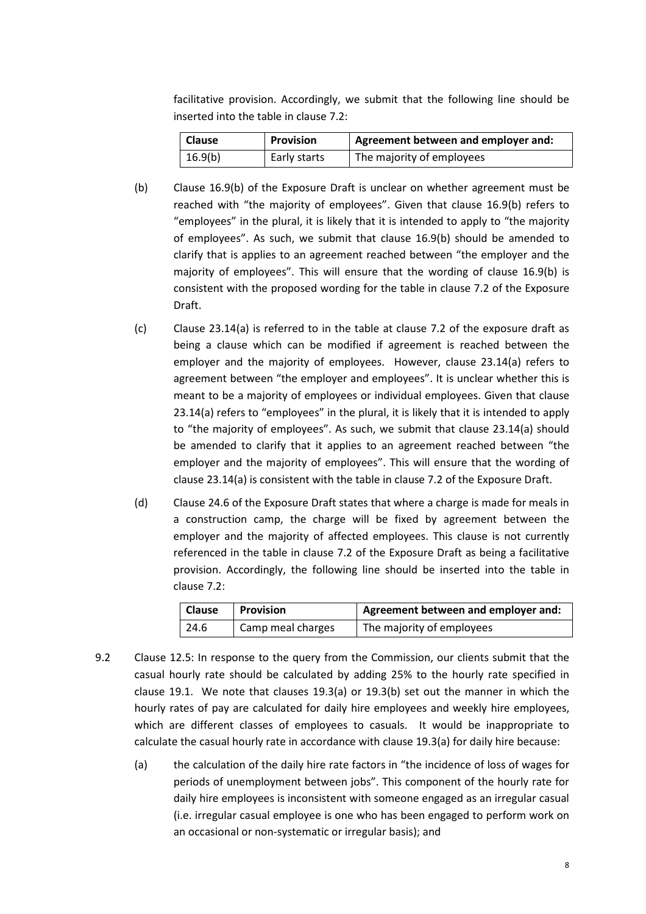facilitative provision. Accordingly, we submit that the following line should be inserted into the table in clause 7.2:

| <b>Clause</b> | <b>Provision</b> | Agreement between and employer and: |
|---------------|------------------|-------------------------------------|
| 16.9(b)       | Early starts     | The majority of employees           |

- (b) Clause 16.9(b) of the Exposure Draft is unclear on whether agreement must be reached with "the majority of employees". Given that clause 16.9(b) refers to "employees" in the plural, it is likely that it is intended to apply to "the majority of employees". As such, we submit that clause 16.9(b) should be amended to clarify that is applies to an agreement reached between "the employer and the majority of employees". This will ensure that the wording of clause 16.9(b) is consistent with the proposed wording for the table in clause 7.2 of the Exposure Draft.
- (c) Clause 23.14(a) is referred to in the table at clause 7.2 of the exposure draft as being a clause which can be modified if agreement is reached between the employer and the majority of employees. However, clause 23.14(a) refers to agreement between "the employer and employees". It is unclear whether this is meant to be a majority of employees or individual employees. Given that clause 23.14(a) refers to "employees" in the plural, it is likely that it is intended to apply to "the majority of employees". As such, we submit that clause 23.14(a) should be amended to clarify that it applies to an agreement reached between "the employer and the majority of employees". This will ensure that the wording of clause 23.14(a) is consistent with the table in clause 7.2 of the Exposure Draft.
- (d) Clause 24.6 of the Exposure Draft states that where a charge is made for meals in a construction camp, the charge will be fixed by agreement between the employer and the majority of affected employees. This clause is not currently referenced in the table in clause 7.2 of the Exposure Draft as being a facilitative provision. Accordingly, the following line should be inserted into the table in clause 7.2:

| <b>Clause</b> | <b>Provision</b>  | Agreement between and employer and: |
|---------------|-------------------|-------------------------------------|
| 24.6          | Camp meal charges | The majority of employees           |

- 9.2 Clause 12.5: In response to the query from the Commission, our clients submit that the casual hourly rate should be calculated by adding 25% to the hourly rate specified in clause 19.1. We note that clauses 19.3(a) or  $19.3(b)$  set out the manner in which the hourly rates of pay are calculated for daily hire employees and weekly hire employees, which are different classes of employees to casuals. It would be inappropriate to calculate the casual hourly rate in accordance with clause 19.3(a) for daily hire because:
	- (a) the calculation of the daily hire rate factors in "the incidence of loss of wages for periods of unemployment between jobs". This component of the hourly rate for daily hire employees is inconsistent with someone engaged as an irregular casual (i.e. irregular casual employee is one who has been engaged to perform work on an occasional or non-systematic or irregular basis); and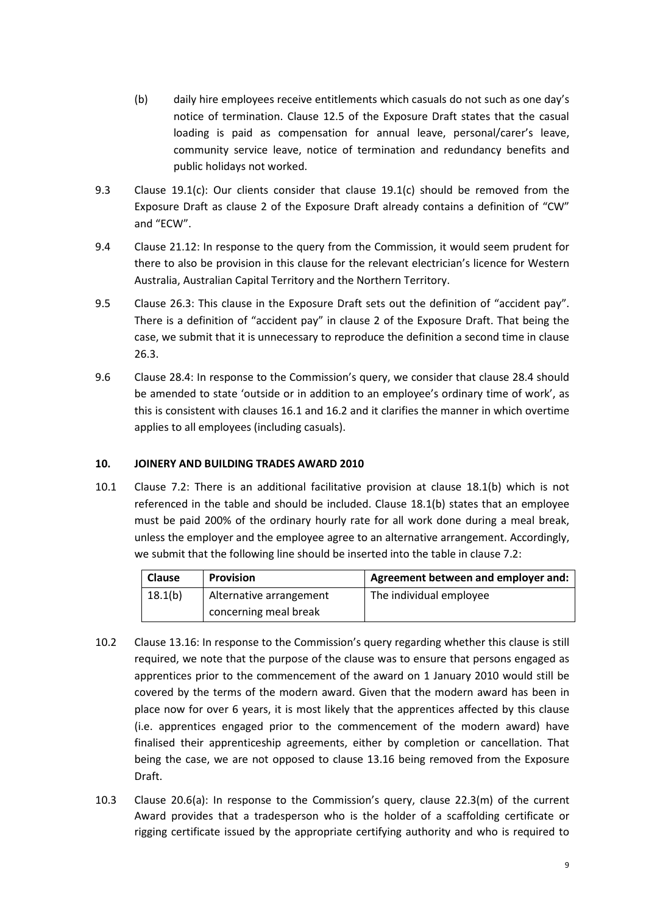- (b) daily hire employees receive entitlements which casuals do not such as one day's notice of termination. Clause 12.5 of the Exposure Draft states that the casual loading is paid as compensation for annual leave, personal/carer's leave, community service leave, notice of termination and redundancy benefits and public holidays not worked.
- 9.3 Clause 19.1(c): Our clients consider that clause 19.1(c) should be removed from the Exposure Draft as clause 2 of the Exposure Draft already contains a definition of "CW" and "ECW".
- 9.4 Clause 21.12: In response to the query from the Commission, it would seem prudent for there to also be provision in this clause for the relevant electrician's licence for Western Australia, Australian Capital Territory and the Northern Territory.
- 9.5 Clause 26.3: This clause in the Exposure Draft sets out the definition of "accident pay". There is a definition of "accident pay" in clause 2 of the Exposure Draft. That being the case, we submit that it is unnecessary to reproduce the definition a second time in clause 26.3.
- 9.6 Clause 28.4: In response to the Commission's query, we consider that clause 28.4 should be amended to state 'outside or in addition to an employee's ordinary time of work', as this is consistent with clauses 16.1 and 16.2 and it clarifies the manner in which overtime applies to all employees (including casuals).

# **10. JOINERY AND BUILDING TRADES AWARD 2010**

10.1 Clause 7.2: There is an additional facilitative provision at clause 18.1(b) which is not referenced in the table and should be included. Clause 18.1(b) states that an employee must be paid 200% of the ordinary hourly rate for all work done during a meal break, unless the employer and the employee agree to an alternative arrangement. Accordingly, we submit that the following line should be inserted into the table in clause 7.2:

| <b>Clause</b> | <b>Provision</b>        | Agreement between and employer and: |
|---------------|-------------------------|-------------------------------------|
| 18.1(b)       | Alternative arrangement | The individual employee             |
|               | concerning meal break   |                                     |

- 10.2 Clause 13.16: In response to the Commission's query regarding whether this clause is still required, we note that the purpose of the clause was to ensure that persons engaged as apprentices prior to the commencement of the award on 1 January 2010 would still be covered by the terms of the modern award. Given that the modern award has been in place now for over 6 years, it is most likely that the apprentices affected by this clause (i.e. apprentices engaged prior to the commencement of the modern award) have finalised their apprenticeship agreements, either by completion or cancellation. That being the case, we are not opposed to clause 13.16 being removed from the Exposure Draft.
- 10.3 Clause 20.6(a): In response to the Commission's query, clause 22.3(m) of the current Award provides that a tradesperson who is the holder of a scaffolding certificate or rigging certificate issued by the appropriate certifying authority and who is required to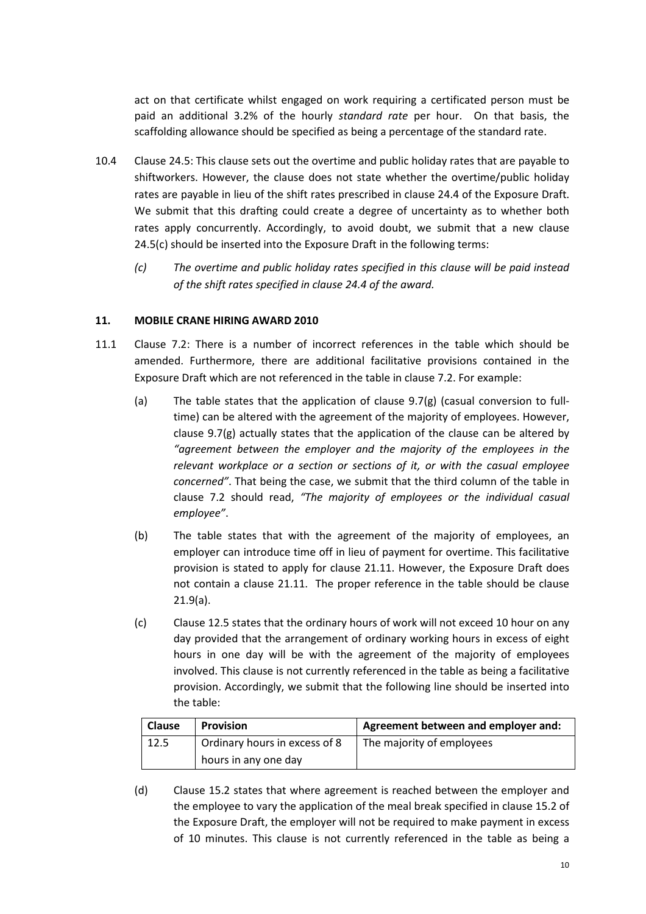act on that certificate whilst engaged on work requiring a certificated person must be paid an additional 3.2% of the hourly *standard rate* per hour. On that basis, the scaffolding allowance should be specified as being a percentage of the standard rate.

- 10.4 Clause 24.5: This clause sets out the overtime and public holiday rates that are payable to shiftworkers. However, the clause does not state whether the overtime/public holiday rates are payable in lieu of the shift rates prescribed in clause 24.4 of the Exposure Draft. We submit that this drafting could create a degree of uncertainty as to whether both rates apply concurrently. Accordingly, to avoid doubt, we submit that a new clause 24.5(c) should be inserted into the Exposure Draft in the following terms:
	- *(c) The overtime and public holiday rates specified in this clause will be paid instead of the shift rates specified in clause 24.4 of the award.*

# **11. MOBILE CRANE HIRING AWARD 2010**

- 11.1 Clause 7.2: There is a number of incorrect references in the table which should be amended. Furthermore, there are additional facilitative provisions contained in the Exposure Draft which are not referenced in the table in clause 7.2. For example:
	- (a) The table states that the application of clause  $9.7(g)$  (casual conversion to fulltime) can be altered with the agreement of the majority of employees. However, clause 9.7(g) actually states that the application of the clause can be altered by *"agreement between the employer and the majority of the employees in the relevant workplace or a section or sections of it, or with the casual employee concerned"*. That being the case, we submit that the third column of the table in clause 7.2 should read, *"The majority of employees or the individual casual employee"*.
	- (b) The table states that with the agreement of the majority of employees, an employer can introduce time off in lieu of payment for overtime. This facilitative provision is stated to apply for clause 21.11. However, the Exposure Draft does not contain a clause 21.11. The proper reference in the table should be clause 21.9(a).
	- (c) Clause 12.5 states that the ordinary hours of work will not exceed 10 hour on any day provided that the arrangement of ordinary working hours in excess of eight hours in one day will be with the agreement of the majority of employees involved. This clause is not currently referenced in the table as being a facilitative provision. Accordingly, we submit that the following line should be inserted into the table:

| <b>Clause</b> | Provision                     | Agreement between and employer and: |
|---------------|-------------------------------|-------------------------------------|
| 12.5          | Ordinary hours in excess of 8 | The majority of employees           |
|               | hours in any one day          |                                     |

(d) Clause 15.2 states that where agreement is reached between the employer and the employee to vary the application of the meal break specified in clause 15.2 of the Exposure Draft, the employer will not be required to make payment in excess of 10 minutes. This clause is not currently referenced in the table as being a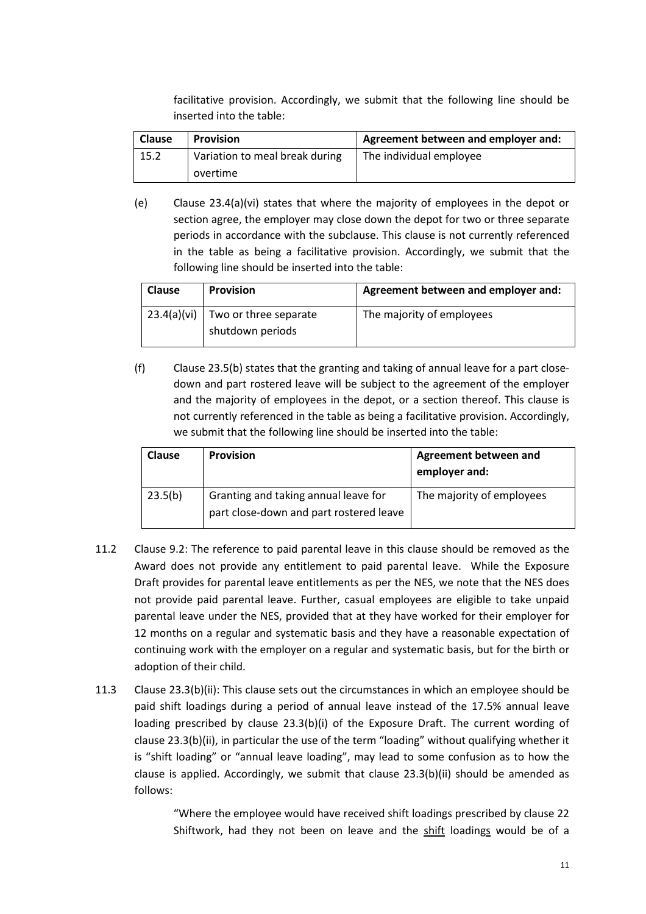facilitative provision. Accordingly, we submit that the following line should be inserted into the table:

| <b>Clause</b> | <b>Provision</b>               | Agreement between and employer and: |
|---------------|--------------------------------|-------------------------------------|
| 15.2          | Variation to meal break during | The individual employee             |
|               | overtime                       |                                     |

(e) Clause 23.4(a)(vi) states that where the majority of employees in the depot or section agree, the employer may close down the depot for two or three separate periods in accordance with the subclause. This clause is not currently referenced in the table as being a facilitative provision. Accordingly, we submit that the following line should be inserted into the table:

| <b>Clause</b> | <b>Provision</b>      | Agreement between and employer and: |
|---------------|-----------------------|-------------------------------------|
| 23.4(a)(vi)   | Two or three separate | The majority of employees           |
|               | shutdown periods      |                                     |

(f) Clause 23.5(b) states that the granting and taking of annual leave for a part closedown and part rostered leave will be subject to the agreement of the employer and the majority of employees in the depot, or a section thereof. This clause is not currently referenced in the table as being a facilitative provision. Accordingly, we submit that the following line should be inserted into the table:

| <b>Clause</b> | <b>Provision</b>                                                                | <b>Agreement between and</b><br>employer and: |
|---------------|---------------------------------------------------------------------------------|-----------------------------------------------|
| 23.5(b)       | Granting and taking annual leave for<br>part close-down and part rostered leave | The majority of employees                     |

- 11.2 Clause 9.2: The reference to paid parental leave in this clause should be removed as the Award does not provide any entitlement to paid parental leave. While the Exposure Draft provides for parental leave entitlements as per the NES, we note that the NES does not provide paid parental leave. Further, casual employees are eligible to take unpaid parental leave under the NES, provided that at they have worked for their employer for 12 months on a regular and systematic basis and they have a reasonable expectation of continuing work with the employer on a regular and systematic basis, but for the birth or adoption of their child.
- 11.3 Clause 23.3(b)(ii): This clause sets out the circumstances in which an employee should be paid shift loadings during a period of annual leave instead of the 17.5% annual leave loading prescribed by clause 23.3(b)(i) of the Exposure Draft. The current wording of clause 23.3(b)(ii), in particular the use of the term "loading" without qualifying whether it is "shift loading" or "annual leave loading", may lead to some confusion as to how the clause is applied. Accordingly, we submit that clause  $23.3(b)(ii)$  should be amended as follows:

"Where the employee would have received shift loadings prescribed by clause 22 Shiftwork, had they not been on leave and the shift loadings would be of a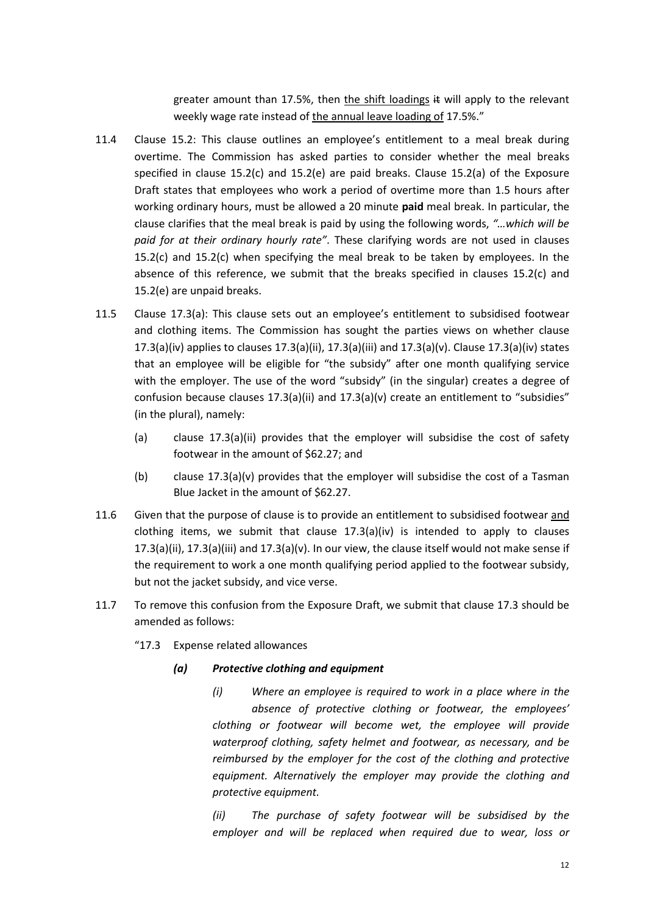greater amount than 17.5%, then the shift loadings  $#$  will apply to the relevant weekly wage rate instead of the annual leave loading of 17.5%."

- 11.4 Clause 15.2: This clause outlines an employee's entitlement to a meal break during overtime. The Commission has asked parties to consider whether the meal breaks specified in clause 15.2(c) and 15.2(e) are paid breaks. Clause 15.2(a) of the Exposure Draft states that employees who work a period of overtime more than 1.5 hours after working ordinary hours, must be allowed a 20 minute **paid** meal break. In particular, the clause clarifies that the meal break is paid by using the following words, *"…which will be paid for at their ordinary hourly rate"*. These clarifying words are not used in clauses 15.2(c) and 15.2(c) when specifying the meal break to be taken by employees. In the absence of this reference, we submit that the breaks specified in clauses 15.2(c) and 15.2(e) are unpaid breaks.
- 11.5 Clause 17.3(a): This clause sets out an employee's entitlement to subsidised footwear and clothing items. The Commission has sought the parties views on whether clause 17.3(a)(iv) applies to clauses  $17.3(a)$ (ii),  $17.3(a)$ (iii) and  $17.3(a)$ (v). Clause  $17.3(a)$ (iv) states that an employee will be eligible for "the subsidy" after one month qualifying service with the employer. The use of the word "subsidy" (in the singular) creates a degree of confusion because clauses 17.3(a)(ii) and 17.3(a)(v) create an entitlement to "subsidies" (in the plural), namely:
	- (a) clause 17.3(a)(ii) provides that the employer will subsidise the cost of safety footwear in the amount of \$62.27; and
	- (b) clause 17.3(a)(v) provides that the employer will subsidise the cost of a Tasman Blue Jacket in the amount of \$62.27.
- 11.6 Given that the purpose of clause is to provide an entitlement to subsidised footwear and clothing items, we submit that clause  $17.3(a)(iv)$  is intended to apply to clauses 17.3(a)(ii), 17.3(a)(iii) and 17.3(a)(v). In our view, the clause itself would not make sense if the requirement to work a one month qualifying period applied to the footwear subsidy, but not the jacket subsidy, and vice verse.
- 11.7 To remove this confusion from the Exposure Draft, we submit that clause 17.3 should be amended as follows:
	- "17.3 Expense related allowances

#### *(a) Protective clothing and equipment*

*(i) Where an employee is required to work in a place where in the absence of protective clothing or footwear, the employees' clothing or footwear will become wet, the employee will provide waterproof clothing, safety helmet and footwear, as necessary, and be reimbursed by the employer for the cost of the clothing and protective equipment. Alternatively the employer may provide the clothing and protective equipment.* 

*(ii) The purchase of safety footwear will be subsidised by the employer and will be replaced when required due to wear, loss or*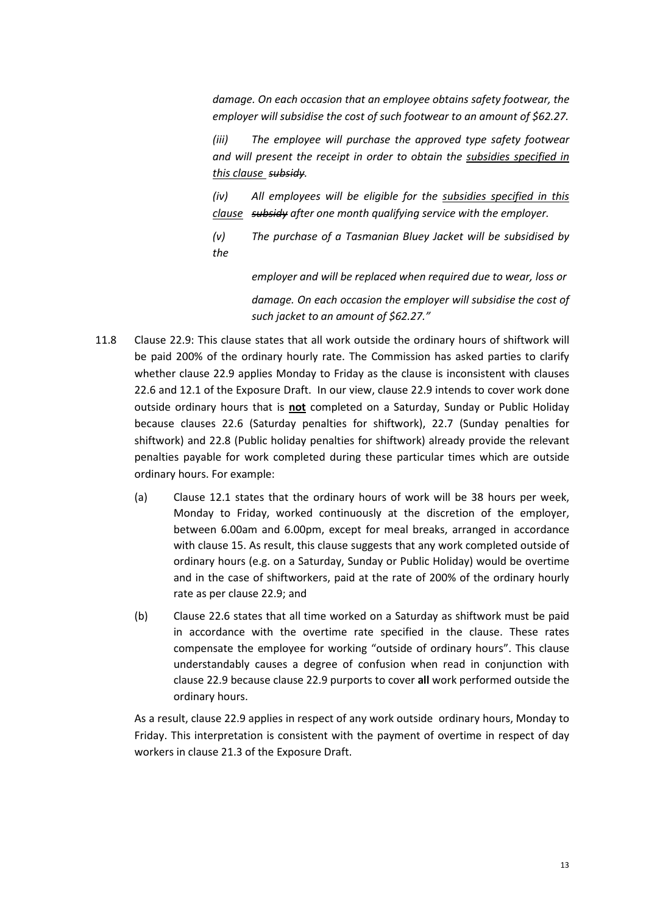*damage. On each occasion that an employee obtains safety footwear, the employer will subsidise the cost of such footwear to an amount of \$62.27.* 

*(iii) The employee will purchase the approved type safety footwear and will present the receipt in order to obtain the subsidies specified in this clause subsidy.* 

*(iv) All employees will be eligible for the subsidies specified in this clause subsidy after one month qualifying service with the employer.* 

*(v) The purchase of a Tasmanian Bluey Jacket will be subsidised by the* 

> *employer and will be replaced when required due to wear, loss or damage. On each occasion the employer will subsidise the cost of such jacket to an amount of \$62.27."*

- 11.8 Clause 22.9: This clause states that all work outside the ordinary hours of shiftwork will be paid 200% of the ordinary hourly rate. The Commission has asked parties to clarify whether clause 22.9 applies Monday to Friday as the clause is inconsistent with clauses 22.6 and 12.1 of the Exposure Draft. In our view, clause 22.9 intends to cover work done outside ordinary hours that is **not** completed on a Saturday, Sunday or Public Holiday because clauses 22.6 (Saturday penalties for shiftwork), 22.7 (Sunday penalties for shiftwork) and 22.8 (Public holiday penalties for shiftwork) already provide the relevant penalties payable for work completed during these particular times which are outside ordinary hours. For example:
	- (a) Clause 12.1 states that the ordinary hours of work will be 38 hours per week, Monday to Friday, worked continuously at the discretion of the employer, between 6.00am and 6.00pm, except for meal breaks, arranged in accordance with clause 15. As result, this clause suggests that any work completed outside of ordinary hours (e.g. on a Saturday, Sunday or Public Holiday) would be overtime and in the case of shiftworkers, paid at the rate of 200% of the ordinary hourly rate as per clause 22.9; and
	- (b) Clause 22.6 states that all time worked on a Saturday as shiftwork must be paid in accordance with the overtime rate specified in the clause. These rates compensate the employee for working "outside of ordinary hours". This clause understandably causes a degree of confusion when read in conjunction with clause 22.9 because clause 22.9 purports to cover **all** work performed outside the ordinary hours.

As a result, clause 22.9 applies in respect of any work outside ordinary hours, Monday to Friday. This interpretation is consistent with the payment of overtime in respect of day workers in clause 21.3 of the Exposure Draft.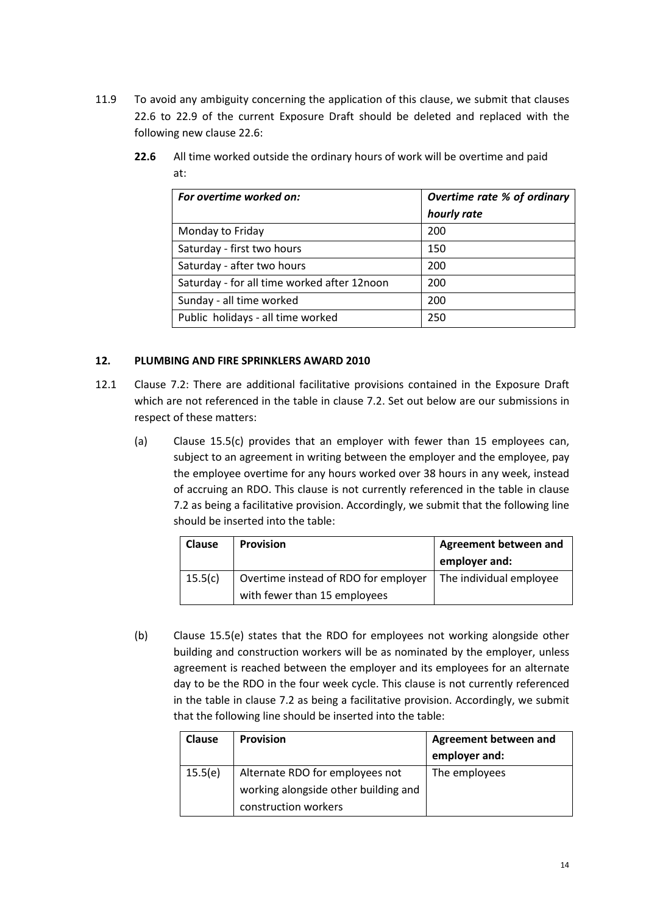11.9 To avoid any ambiguity concerning the application of this clause, we submit that clauses 22.6 to 22.9 of the current Exposure Draft should be deleted and replaced with the following new clause 22.6:

| For overtime worked on:                     | Overtime rate % of ordinary |
|---------------------------------------------|-----------------------------|
|                                             | hourly rate                 |
| Monday to Friday                            | 200                         |
| Saturday - first two hours                  | 150                         |
| Saturday - after two hours                  | 200                         |
| Saturday - for all time worked after 12noon | 200                         |
| Sunday - all time worked                    | 200                         |
| Public holidays - all time worked           | 250                         |

**22.6** All time worked outside the ordinary hours of work will be overtime and paid at:

#### **12. PLUMBING AND FIRE SPRINKLERS AWARD 2010**

- 12.1 Clause 7.2: There are additional facilitative provisions contained in the Exposure Draft which are not referenced in the table in clause 7.2. Set out below are our submissions in respect of these matters:
	- (a) Clause 15.5(c) provides that an employer with fewer than 15 employees can, subject to an agreement in writing between the employer and the employee, pay the employee overtime for any hours worked over 38 hours in any week, instead of accruing an RDO. This clause is not currently referenced in the table in clause 7.2 as being a facilitative provision. Accordingly, we submit that the following line should be inserted into the table:

| <b>Clause</b> | <b>Provision</b>                                                     | Agreement between and<br>employer and: |
|---------------|----------------------------------------------------------------------|----------------------------------------|
| 15.5(c)       | Overtime instead of RDO for employer<br>with fewer than 15 employees | The individual employee                |

(b) Clause 15.5(e) states that the RDO for employees not working alongside other building and construction workers will be as nominated by the employer, unless agreement is reached between the employer and its employees for an alternate day to be the RDO in the four week cycle. This clause is not currently referenced in the table in clause 7.2 as being a facilitative provision. Accordingly, we submit that the following line should be inserted into the table:

| <b>Clause</b> | <b>Provision</b>                     | <b>Agreement between and</b> |
|---------------|--------------------------------------|------------------------------|
|               |                                      | employer and:                |
| 15.5(e)       | Alternate RDO for employees not      | The employees                |
|               | working alongside other building and |                              |
|               | construction workers                 |                              |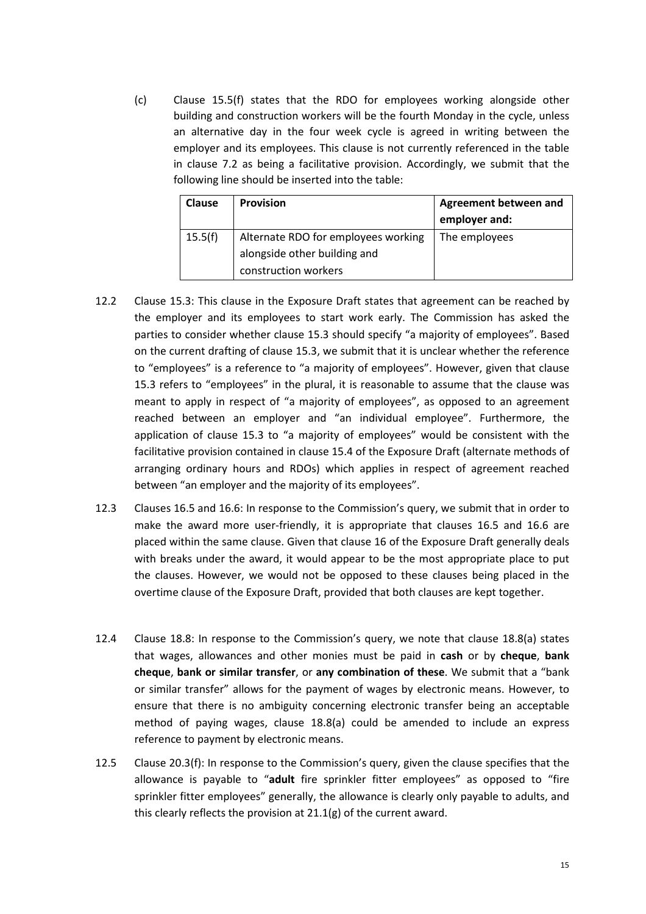(c) Clause 15.5(f) states that the RDO for employees working alongside other building and construction workers will be the fourth Monday in the cycle, unless an alternative day in the four week cycle is agreed in writing between the employer and its employees. This clause is not currently referenced in the table in clause 7.2 as being a facilitative provision. Accordingly, we submit that the following line should be inserted into the table:

| <b>Clause</b> | <b>Provision</b>                    | <b>Agreement between and</b><br>employer and: |
|---------------|-------------------------------------|-----------------------------------------------|
| 15.5(f)       | Alternate RDO for employees working | The employees                                 |
|               | alongside other building and        |                                               |
|               | construction workers                |                                               |

- 12.2 Clause 15.3: This clause in the Exposure Draft states that agreement can be reached by the employer and its employees to start work early. The Commission has asked the parties to consider whether clause 15.3 should specify "a majority of employees". Based on the current drafting of clause 15.3, we submit that it is unclear whether the reference to "employees" is a reference to "a majority of employees". However, given that clause 15.3 refers to "employees" in the plural, it is reasonable to assume that the clause was meant to apply in respect of "a majority of employees", as opposed to an agreement reached between an employer and "an individual employee". Furthermore, the application of clause 15.3 to "a majority of employees" would be consistent with the facilitative provision contained in clause 15.4 of the Exposure Draft (alternate methods of arranging ordinary hours and RDOs) which applies in respect of agreement reached between "an employer and the majority of its employees".
- 12.3 Clauses 16.5 and 16.6: In response to the Commission's query, we submit that in order to make the award more user-friendly, it is appropriate that clauses 16.5 and 16.6 are placed within the same clause. Given that clause 16 of the Exposure Draft generally deals with breaks under the award, it would appear to be the most appropriate place to put the clauses. However, we would not be opposed to these clauses being placed in the overtime clause of the Exposure Draft, provided that both clauses are kept together.
- 12.4 Clause 18.8: In response to the Commission's query, we note that clause 18.8(a) states that wages, allowances and other monies must be paid in **cash** or by **cheque**, **bank cheque**, **bank or similar transfer**, or **any combination of these**. We submit that a "bank or similar transfer" allows for the payment of wages by electronic means. However, to ensure that there is no ambiguity concerning electronic transfer being an acceptable method of paying wages, clause 18.8(a) could be amended to include an express reference to payment by electronic means.
- 12.5 Clause 20.3(f): In response to the Commission's query, given the clause specifies that the allowance is payable to "**adult** fire sprinkler fitter employees" as opposed to "fire sprinkler fitter employees" generally, the allowance is clearly only payable to adults, and this clearly reflects the provision at 21.1(g) of the current award.